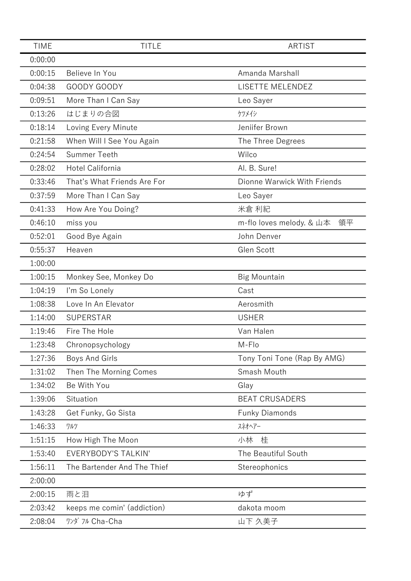| <b>TIME</b> | <b>TITLE</b>                | <b>ARTIST</b>                  |
|-------------|-----------------------------|--------------------------------|
| 0:00:00     |                             |                                |
| 0:00:15     | Believe In You              | Amanda Marshall                |
| 0:04:38     | GOODY GOODY                 | LISETTE MELENDEZ               |
| 0:09:51     | More Than I Can Say         | Leo Sayer                      |
| 0:13:26     | はじまりの合図                     | ケツメイシ                          |
| 0:18:14     | Loving Every Minute         | Jeniifer Brown                 |
| 0:21:58     | When Will I See You Again   | The Three Degrees              |
| 0:24:54     | <b>Summer Teeth</b>         | Wilco                          |
| 0:28:02     | Hotel California            | Al. B. Sure!                   |
| 0:33:46     | That's What Friends Are For | Dionne Warwick With Friends    |
| 0:37:59     | More Than I Can Say         | Leo Sayer                      |
| 0:41:33     | How Are You Doing?          | 米倉 利紀                          |
| 0:46:10     | miss you                    | m-flo loves melody. & 山本<br>領平 |
| 0:52:01     | Good Bye Again              | John Denver                    |
| 0:55:37     | Heaven                      | Glen Scott                     |
| 1:00:00     |                             |                                |
| 1:00:15     | Monkey See, Monkey Do       | <b>Big Mountain</b>            |
| 1:04:19     | I'm So Lonely               | Cast                           |
| 1:08:38     | Love In An Elevator         | Aerosmith                      |
| 1:14:00     | <b>SUPERSTAR</b>            | <b>USHER</b>                   |
| 1:19:46     | Fire The Hole               | Van Halen                      |
| 1:23:48     | Chronopsychology            | M-Flo                          |
| 1:27:36     | Boys And Girls              | Tony Toni Tone (Rap By AMG)    |
| 1:31:02     | Then The Morning Comes      | Smash Mouth                    |
| 1:34:02     | Be With You                 | Glay                           |
| 1:39:06     | Situation                   | <b>BEAT CRUSADERS</b>          |
| 1:43:28     | Get Funky, Go Sista         | <b>Funky Diamonds</b>          |
| 1:46:33     | ワルツ                         | スネオヘアー                         |
| 1:51:15     | How High The Moon           | 小林<br>桂                        |
| 1:53:40     | <b>EVERYBODY'S TALKIN'</b>  | The Beautiful South            |
| 1:56:11     | The Bartender And The Thief | Stereophonics                  |
| 2:00:00     |                             |                                |
| 2:00:15     | 雨と泪                         | ゆず                             |
| 2:03:42     | keeps me comin' (addiction) | dakota moom                    |
| 2:08:04     | ワンダ フル Cha-Cha              | 山下 久美子                         |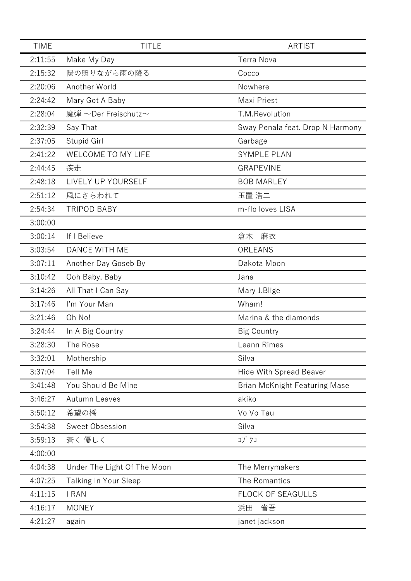| <b>TIME</b> | <b>TITLE</b>                 | <b>ARTIST</b>                        |
|-------------|------------------------------|--------------------------------------|
| 2:11:55     | Make My Day                  | <b>Terra Nova</b>                    |
| 2:15:32     | 陽の照りながら雨の降る                  | Cocco                                |
| 2:20:06     | Another World                | Nowhere                              |
| 2:24:42     | Mary Got A Baby              | Maxi Priest                          |
| 2:28:04     | 魔弾 ~Der Freischutz~          | T.M.Revolution                       |
| 2:32:39     | Say That                     | Sway Penala feat. Drop N Harmony     |
| 2:37:05     | Stupid Girl                  | Garbage                              |
| 2:41:22     | <b>WELCOME TO MY LIFE</b>    | <b>SYMPLE PLAN</b>                   |
| 2:44:45     | 疾走                           | <b>GRAPEVINE</b>                     |
| 2:48:18     | LIVELY UP YOURSELF           | <b>BOB MARLEY</b>                    |
| 2:51:12     | 風にさらわれて                      | 玉置 浩二                                |
| 2:54:34     | <b>TRIPOD BABY</b>           | m-flo loves LISA                     |
| 3:00:00     |                              |                                      |
| 3:00:14     | If I Believe                 | 麻衣<br>倉木                             |
| 3:03:54     | DANCE WITH ME                | ORLEANS                              |
| 3:07:11     | Another Day Goseb By         | Dakota Moon                          |
| 3:10:42     | Ooh Baby, Baby               | Jana                                 |
| 3:14:26     | All That I Can Say           | Mary J.Blige                         |
| 3:17:46     | I'm Your Man                 | Wham!                                |
| 3:21:46     | Oh No!                       | Marina & the diamonds                |
| 3:24:44     | In A Big Country             | <b>Big Country</b>                   |
| 3:28:30     | The Rose                     | Leann Rimes                          |
| 3:32:01     | Mothership                   | Silva                                |
| 3:37:04     | Tell Me                      | <b>Hide With Spread Beaver</b>       |
| 3:41:48     | You Should Be Mine           | <b>Brian McKnight Featuring Mase</b> |
| 3:46:27     | Autumn Leaves                | akiko                                |
| 3:50:12     | 希望の橋                         | Vo Vo Tau                            |
| 3:54:38     | Sweet Obsession              | Silva                                |
| 3:59:13     | 蒼く 優しく                       | コブクロ                                 |
| 4:00:00     |                              |                                      |
| 4:04:38     | Under The Light Of The Moon  | The Merrymakers                      |
| 4:07:25     | <b>Talking In Your Sleep</b> | The Romantics                        |
| 4:11:15     | I RAN                        | <b>FLOCK OF SEAGULLS</b>             |
| 4:16:17     | <b>MONEY</b>                 | 省吾<br>浜田                             |
| 4:21:27     | again                        | janet jackson                        |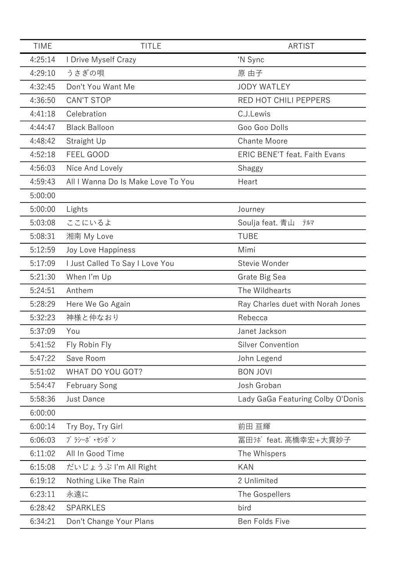| <b>TIME</b> | <b>TITLE</b>                       | <b>ARTIST</b>                        |
|-------------|------------------------------------|--------------------------------------|
| 4:25:14     | I Drive Myself Crazy               | 'N Sync                              |
| 4:29:10     | うさぎの唄                              | 原 由子                                 |
| 4:32:45     | Don't You Want Me                  | <b>JODY WATLEY</b>                   |
| 4:36:50     | <b>CAN'T STOP</b>                  | RED HOT CHILI PEPPERS                |
| 4:41:18     | Celebration                        | C.J.Lewis                            |
| 4:44:47     | <b>Black Balloon</b>               | Goo Goo Dolls                        |
| 4:48:42     | Straight Up                        | <b>Chante Moore</b>                  |
| 4:52:18     | FEEL GOOD                          | <b>ERIC BENE'T feat. Faith Evans</b> |
| 4:56:03     | Nice And Lovely                    | Shaggy                               |
| 4:59:43     | All I Wanna Do Is Make Love To You | Heart                                |
| 5:00:00     |                                    |                                      |
| 5:00:00     | Lights                             | Journey                              |
| 5:03:08     | ここにいるよ                             | Soulja feat. 青山<br>テルマ               |
| 5:08:31     | 湘南 My Love                         | <b>TUBE</b>                          |
| 5:12:59     | Joy Love Happiness                 | Mimi                                 |
| 5:17:09     | I Just Called To Say I Love You    | Stevie Wonder                        |
| 5:21:30     | When I'm Up                        | Grate Big Sea                        |
| 5:24:51     | Anthem                             | The Wildhearts                       |
| 5:28:29     | Here We Go Again                   | Ray Charles duet with Norah Jones    |
| 5:32:23     | 神様と仲なおり                            | Rebecca                              |
| 5:37:09     | You                                | Janet Jackson                        |
| 5:41:52     | Fly Robin Fly                      | <b>Silver Convention</b>             |
| 5:47:22     | Save Room                          | John Legend                          |
| 5:51:02     | WHAT DO YOU GOT?                   | <b>BON JOVI</b>                      |
| 5:54:47     | <b>February Song</b>               | Josh Groban                          |
| 5:58:36     | Just Dance                         | Lady GaGa Featuring Colby O'Donis    |
| 6:00:00     |                                    |                                      |
| 6:00:14     | Try Boy, Try Girl                  | 前田 亘輝                                |
| 6:06:03     | プ ラシーボ・セシボン                        | 冨田カボ feat. 高橋幸宏+大貫妙子                 |
| 6:11:02     | All In Good Time                   | The Whispers                         |
| 6:15:08     | だいじょうぶ I'm All Right               | <b>KAN</b>                           |
| 6:19:12     | Nothing Like The Rain              | 2 Unlimited                          |
| 6:23:11     | 永遠に                                | The Gospellers                       |
| 6:28:42     | <b>SPARKLES</b>                    | bird                                 |
| 6:34:21     | Don't Change Your Plans            | Ben Folds Five                       |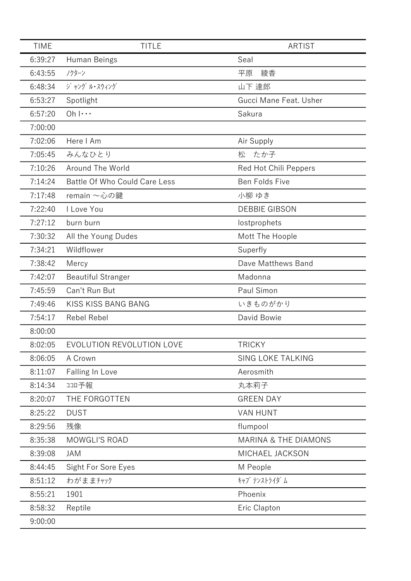| <b>TIME</b> | <b>TITLE</b>                  | <b>ARTIST</b>                   |
|-------------|-------------------------------|---------------------------------|
| 6:39:27     | Human Beings                  | Seal                            |
| 6:43:55     | ノクターン                         | 綾香<br>平原                        |
| 6:48:34     | ジャング ル・スウィング                  | 山下 達郎                           |
| 6:53:27     | Spotlight                     | Gucci Mane Feat. Usher          |
| 6:57:20     | $Oh \cdots$                   | Sakura                          |
| 7:00:00     |                               |                                 |
| 7:02:06     | Here I Am                     | Air Supply                      |
| 7:05:45     | みんなひとり                        | 松<br>たか子                        |
| 7:10:26     | Around The World              | Red Hot Chili Peppers           |
| 7:14:24     | Battle Of Who Could Care Less | Ben Folds Five                  |
| 7:17:48     | remain ~心の鍵                   | 小柳 ゆき                           |
| 7:22:40     | I Love You                    | <b>DEBBIE GIBSON</b>            |
| 7:27:12     | burn burn                     | lostprophets                    |
| 7:30:32     | All the Young Dudes           | Mott The Hoople                 |
| 7:34:21     | Wildflower                    | Superfly                        |
| 7:38:42     | Mercy                         | Dave Matthews Band              |
| 7:42:07     | <b>Beautiful Stranger</b>     | Madonna                         |
| 7:45:59     | Can't Run But                 | Paul Simon                      |
| 7:49:46     | KISS KISS BANG BANG           | いきものがかり                         |
| 7:54:17     | Rebel Rebel                   | David Bowie                     |
| 8:00:00     |                               |                                 |
| 8:02:05     | EVOLUTION REVOLUTION LOVE     | <b>TRICKY</b>                   |
| 8:06:05     | A Crown                       | SING LOKE TALKING               |
| 8:11:07     | Falling In Love               | Aerosmith                       |
| 8:14:34     | 1コロ予報                         | 丸本莉子                            |
| 8:20:07     | THE FORGOTTEN                 | <b>GREEN DAY</b>                |
| 8:25:22     | <b>DUST</b>                   | <b>VAN HUNT</b>                 |
| 8:29:56     | 残像                            | flumpool                        |
| 8:35:38     | MOWGLI'S ROAD                 | <b>MARINA &amp; THE DIAMONS</b> |
| 8:39:08     | <b>JAM</b>                    | MICHAEL JACKSON                 |
| 8:44:45     | Sight For Sore Eyes           | M People                        |
| 8:51:12     | わがままチャック                      | キャプ テンストライダ ム                   |
| 8:55:21     | 1901                          | Phoenix                         |
| 8:58:32     | Reptile                       | Eric Clapton                    |
| 9:00:00     |                               |                                 |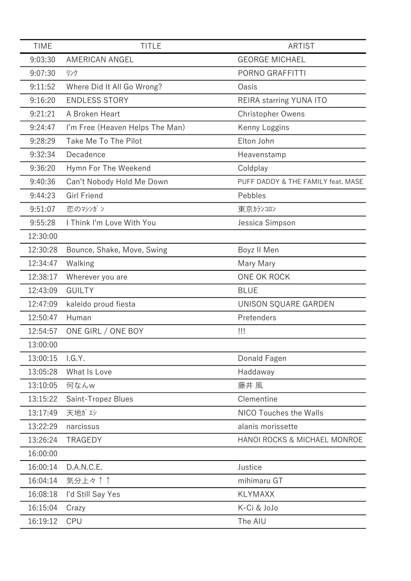| <b>TIME</b> | <b>TITLE</b>                    | <b>ARTIST</b>                      |
|-------------|---------------------------------|------------------------------------|
| 9:03:30     | AMERICAN ANGEL                  | <b>GEORGE MICHAEL</b>              |
| 9:07:30     | リンク                             | PORNO GRAFFITTI                    |
| 9:11:52     | Where Did It All Go Wrong?      | Oasis                              |
| 9:16:20     | <b>ENDLESS STORY</b>            | REIRA starring YUNA ITO            |
| 9:21:21     | A Broken Heart                  | <b>Christopher Owens</b>           |
| 9:24:47     | I'm Free (Heaven Helps The Man) | Kenny Loggins                      |
| 9:28:29     | Take Me To The Pilot            | Elton John                         |
| 9:32:34     | Decadence                       | Heavenstamp                        |
| 9:36:20     | Hymn For The Weekend            | Coldplay                           |
| 9:40:36     | Can't Nobody Hold Me Down       | PUFF DADDY & THE FAMILY feat. MASE |
| 9:44:23     | Girl Friend                     | Pebbles                            |
| 9:51:07     | 恋のマシゾン                          | 東京カランコロン                           |
| 9:55:28     | I Think I'm Love With You       | Jessica Simpson                    |
| 12:30:00    |                                 |                                    |
| 12:30:28    | Bounce, Shake, Move, Swing      | Boyz II Men                        |
| 12:34:47    | Walking                         | Mary Mary                          |
| 12:38:17    | Wherever you are                | ONE OK ROCK                        |
| 12:43:09    | <b>GUILTY</b>                   | <b>BLUE</b>                        |
| 12:47:09    | kaleido proud fiesta            | UNISON SQUARE GARDEN               |
| 12:50:47    | Human                           | Pretenders                         |
| 12:54:57    | ONE GIRL / ONE BOY              | Ш                                  |
| 13:00:00    |                                 |                                    |
| 13:00:15    | I.G.Y.                          | Donald Fagen                       |
| 13:05:28    | What Is Love                    | Haddaway                           |
| 13:10:05    | 何なんw                            | 藤井 風                               |
| 13:15:22    | Saint-Tropez Blues              | Clementine                         |
| 13:17:49    | 天地がエシ                           | NICO Touches the Walls             |
| 13:22:29    | narcissus                       | alanis morissette                  |
| 13:26:24    | TRAGEDY                         | HANOI ROCKS & MICHAEL MONROE       |
| 16:00:00    |                                 |                                    |
| 16:00:14    | D.A.N.C.E.                      | Justice                            |
| 16:04:14    | 気分上々↑↑                          | mihimaru GT                        |
| 16:08:18    | I'd Still Say Yes               | <b>KLYMAXX</b>                     |
| 16:15:04    | Crazy                           | K-Ci & JoJo                        |
| 16:19:12    | <b>CPU</b>                      | The AIU                            |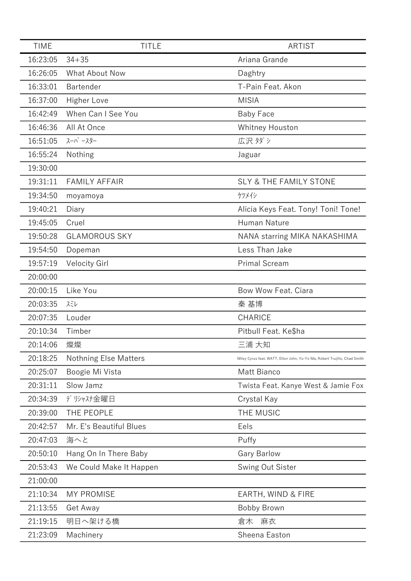| <b>TIME</b> | <b>TITLE</b>                 | <b>ARTIST</b>                                                             |
|-------------|------------------------------|---------------------------------------------------------------------------|
| 16:23:05    | $34 + 35$                    | Ariana Grande                                                             |
| 16:26:05    | <b>What About Now</b>        | Daghtry                                                                   |
| 16:33:01    | Bartender                    | T-Pain Feat. Akon                                                         |
| 16:37:00    | Higher Love                  | <b>MISIA</b>                                                              |
| 16:42:49    | When Can I See You           | <b>Baby Face</b>                                                          |
| 16:46:36    | All At Once                  | Whitney Houston                                                           |
| 16:51:05    | スーパースター                      | 広沢 タダシ                                                                    |
| 16:55:24    | Nothing                      | Jaguar                                                                    |
| 19:30:00    |                              |                                                                           |
| 19:31:11    | <b>FAMILY AFFAIR</b>         | <b>SLY &amp; THE FAMILY STONE</b>                                         |
| 19:34:50    | moyamoya                     | ケツメイシ                                                                     |
| 19:40:21    | Diary                        | Alicia Keys Feat. Tony! Toni! Tone!                                       |
| 19:45:05    | Cruel                        | Human Nature                                                              |
| 19:50:28    | <b>GLAMOROUS SKY</b>         | NANA starring MIKA NAKASHIMA                                              |
| 19:54:50    | Dopeman                      | Less Than Jake                                                            |
| 19:57:19    | Velocity Girl                | <b>Primal Scream</b>                                                      |
| 20:00:00    |                              |                                                                           |
| 20:00:15    | Like You                     | Bow Wow Feat. Ciara                                                       |
| 20:03:35    | スミレ                          | 秦 基博                                                                      |
| 20:07:35    | Louder                       | <b>CHARICE</b>                                                            |
| 20:10:34    | Timber                       | Pitbull Feat. Ke\$ha                                                      |
| 20:14:06    | 燦燦                           | 三浦 大知                                                                     |
| 20:18:25    | <b>Nothning Else Matters</b> | Miley Cyrus feat. WATT, Elton John, Yo-Yo Ma, Robert Trujillo, Chad Smith |
| 20:25:07    | Boogie Mi Vista              | Matt Bianco                                                               |
| 20:31:11    | Slow Jamz                    | Twista Feat. Kanye West & Jamie Fox                                       |
| 20:34:39    | デリシャスナ金曜日                    | Crystal Kay                                                               |
| 20:39:00    | THE PEOPLE                   | THE MUSIC                                                                 |
| 20:42:57    | Mr. E's Beautiful Blues      | Eels                                                                      |
| 20:47:03    | 海へと                          | Puffy                                                                     |
| 20:50:10    | Hang On In There Baby        | <b>Gary Barlow</b>                                                        |
| 20:53:43    | We Could Make It Happen      | Swing Out Sister                                                          |
| 21:00:00    |                              |                                                                           |
| 21:10:34    | <b>MY PROMISE</b>            | EARTH, WIND & FIRE                                                        |
| 21:13:55    | Get Away                     | Bobby Brown                                                               |
| 21:19:15    | 明日へ架ける橋                      | 麻衣<br>倉木                                                                  |
| 21:23:09    | Machinery                    | Sheena Easton                                                             |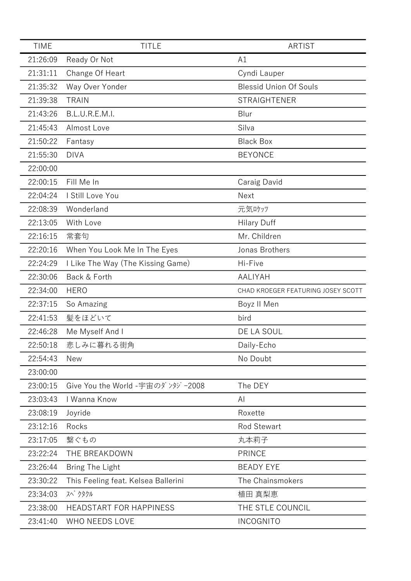| <b>TIME</b> | <b>TITLE</b>                        | <b>ARTIST</b>                      |
|-------------|-------------------------------------|------------------------------------|
| 21:26:09    | Ready Or Not                        | A1                                 |
| 21:31:11    | Change Of Heart                     | Cyndi Lauper                       |
| 21:35:32    | Way Over Yonder                     | <b>Blessid Union Of Souls</b>      |
| 21:39:38    | <b>TRAIN</b>                        | <b>STRAIGHTENER</b>                |
| 21:43:26    | <b>B.L.U.R.E.M.I.</b>               | Blur                               |
| 21:45:43    | Almost Love                         | Silva                              |
| 21:50:22    | Fantasy                             | <b>Black Box</b>                   |
| 21:55:30    | <b>DIVA</b>                         | <b>BEYONCE</b>                     |
| 22:00:00    |                                     |                                    |
| 22:00:15    | Fill Me In                          | Caraig David                       |
| 22:04:24    | I Still Love You                    | Next                               |
| 22:08:39    | Wonderland                          | 元気ロケッツ                             |
| 22:13:05    | With Love                           | <b>Hilary Duff</b>                 |
| 22:16:15    | 常套句                                 | Mr. Children                       |
| 22:20:16    | When You Look Me In The Eyes        | Jonas Brothers                     |
| 22:24:29    | I Like The Way (The Kissing Game)   | Hi-Five                            |
| 22:30:06    | Back & Forth                        | <b>AALIYAH</b>                     |
| 22:34:00    | <b>HERO</b>                         | CHAD KROEGER FEATURING JOSEY SCOTT |
| 22:37:15    | So Amazing                          | Boyz II Men                        |
| 22:41:53    | 髪をほどいて                              | bird                               |
| 22:46:28    | Me Myself And I                     | DE LA SOUL                         |
| 22:50:18    | 悲しみに暮れる街角                           | Daily-Echo                         |
| 22:54:43    | <b>New</b>                          | No Doubt                           |
| 23:00:00    |                                     |                                    |
| 23:00:15    | Give You the World -宇宙のダ ンタジー2008   | The DEY                            |
| 23:03:43    | I Wanna Know                        | AI                                 |
| 23:08:19    | Joyride                             | Roxette                            |
| 23:12:16    | Rocks                               | <b>Rod Stewart</b>                 |
| 23:17:05    | 繋ぐもの                                | 丸本莉子                               |
| 23:22:24    | THE BREAKDOWN                       | <b>PRINCE</b>                      |
| 23:26:44    | Bring The Light                     | <b>BEADY EYE</b>                   |
| 23:30:22    | This Feeling feat. Kelsea Ballerini | The Chainsmokers                   |
| 23:34:03    | スペクタクル                              | 植田 真梨恵                             |
| 23:38:00    | <b>HEADSTART FOR HAPPINESS</b>      | THE STLE COUNCIL                   |
| 23:41:40    | WHO NEEDS LOVE                      | <b>INCOGNITO</b>                   |